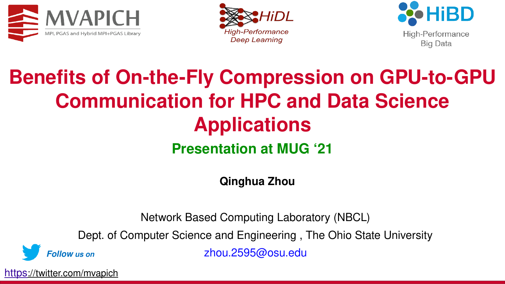





#### **Benefits of On-the-Fly Compression on GPU-to-GPU Communication for HPC and Data Science Applications Presentation at MUG '21**

**Qinghua Zhou**

Network Based Computing Laboratory (NBCL)

Dept. of Computer Science and Engineering , The Ohio State University

*Follow us on*

zhou.2595@osu.edu

[https](https://twitter.com/mvapich)[://twitter.com/mvapich](https://twitter.com/mvapich)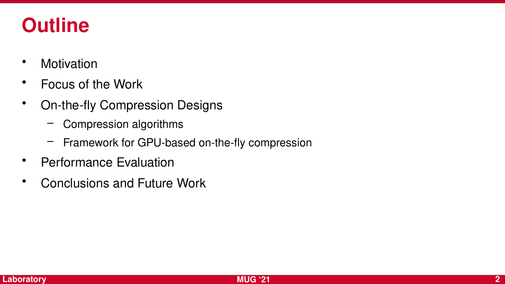#### **Outline**

- Motivation
- Focus of the Work
- On-the-fly Compression Designs
	- Compression algorithms
	- Framework for GPU-based on-the-fly compression
- Performance Evaluation
- Conclusions and Future Work

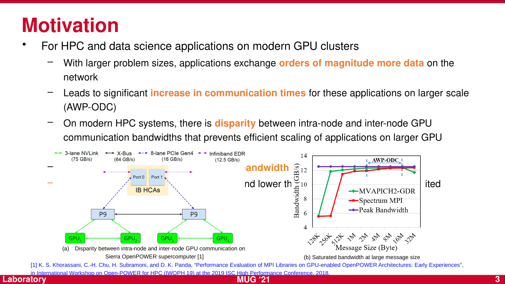#### **Motivation**

- For HPC and data science applications on modern GPU clusters
	- With larger problem sizes, applications exchange **orders of magnitude more data** on the network
	- Leads to significant **increase in communication times** for these applications on larger scale (AWP-ODC)
	- On modern HPC systems, there is **disparity** between intra-node and inter-node GPU communication bandwidths that prevents efficient scaling of applications on larger GPU



**Network Based Computing**  in International Workshop on Open-POWER for HPC (IWOPH 19) at the 2019 ISC High Performance Conference, 2018.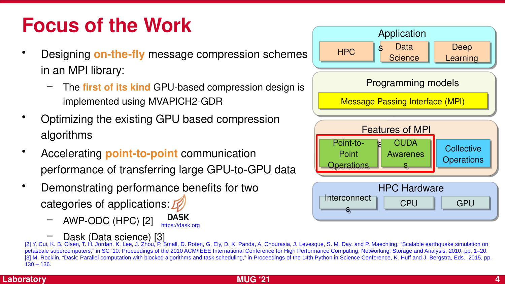#### **Focus of the Work**

- Designing **on-the-fly** message compression schemes in an MPI library:
	- The **first of its kind** GPU-based compression design is implemented using MVAPICH2-GDR
- Optimizing the existing GPU based compression algorithms
- Accelerating **point-to-point** communication performance of transferring large GPU-to-GPU data
- Demonstrating performance benefits for two categories of applications:  $\mathbb{Z}$ 
	- AWP-ODC (HPC) [2] **DASK** https://dask.org



— Dask (Data science) [3]<br>[2] Y. Cui, K. B. Olsen, T. H. Jordan, K. Lee, J. Zhou, P. Small, D. Roten, G. Ely, D. K. Panda, A. Chourasia, J. Levesque, S. M. Day, and P. Maechling, "Scalable earthquake simulation on petascale supercomputers," in SC '10: Proceedings of the 2010 ACM/IEEE International Conference for High Performance Computing, Networking, Storage and Analysis, 2010, pp. 1–20. [3] M. Rocklin, "Dask: Parallel computation with blocked algorithms and task scheduling," in Proceedings of the 14th Python in Science Conference, K. Huff and J. Bergstra, Eds., 2015, pp. 130 – 136.

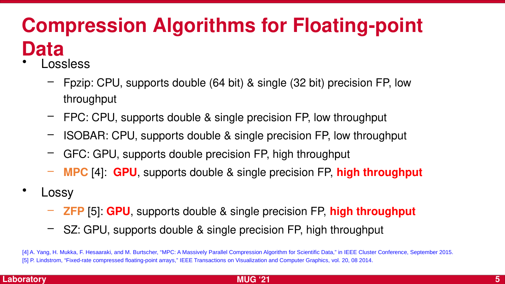## **Compression Algorithms for Floating-point Data**

- **Lossless** 
	- Fpzip: CPU, supports double (64 bit) & single (32 bit) precision FP, low throughput
	- FPC: CPU, supports double & single precision FP, low throughput
	- ISOBAR: CPU, supports double & single precision FP, low throughput
	- GFC: GPU, supports double precision FP, high throughput
	- **MPC** [4]: **GPU**, supports double & single precision FP, **high throughput**
- **Lossy** 
	- **ZFP** [5]: **GPU**, supports double & single precision FP, **high throughput**
	- SZ: GPU, supports double & single precision FP, high throughput

[4] A. Yang, H. Mukka, F. Hesaaraki, and M. Burtscher, "MPC: A Massively Parallel Compression Algorithm for Scientific Data," in IEEE Cluster Conference, September 2015. [5] P. Lindstrom, "Fixed-rate compressed floating-point arrays," IEEE Transactions on Visualization and Computer Graphics, vol. 20, 08 2014.

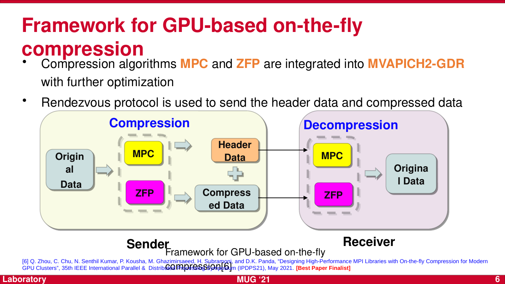## **Framework for GPU-based on-the-fly compression**

- Compression algorithms **MPC** and **ZFP** are integrated into **MVAPICH2-GDR** with further optimization
- Rendezvous protocol is used to send the header data and compressed data



#### Framework for GPU-based on-the-fly **Sender Receiver**

[6] Q. Zhou, C. Chu, N. Senthil Kumar, P. Kousha, M. Ghazimirsaeed, H. Subramoni, and D.K. Panda, "Designing High-Performance MPI Libraries with On-the-fly Compression for Modern<br>GPU Clusters", 35th IEEE International Par

**MUG '21 6**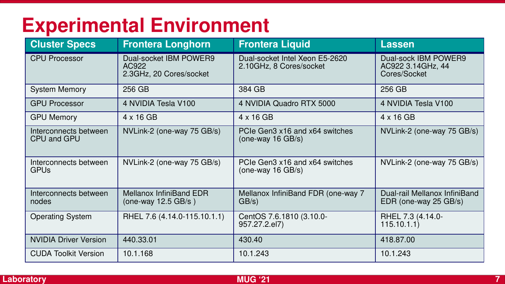#### **Experimental Environment**

| <b>Cluster Specs</b>                 | <b>Frontera Longhorn</b>                                   | <b>Frontera Liquid</b>                                    | <b>Lassen</b>                                             |
|--------------------------------------|------------------------------------------------------------|-----------------------------------------------------------|-----------------------------------------------------------|
| <b>CPU Processor</b>                 | Dual-socket IBM POWER9<br>AC922<br>2.3GHz, 20 Cores/socket | Dual-socket Intel Xeon E5-2620<br>2.10GHz, 8 Cores/socket | Dual-sock IBM POWER9<br>AC922 3.14GHz, 44<br>Cores/Socket |
| <b>System Memory</b>                 | 256 GB                                                     | 384 GB                                                    | 256 GB                                                    |
| <b>GPU Processor</b>                 | 4 NVIDIA Tesla V100                                        | 4 NVIDIA Quadro RTX 5000                                  | 4 NVIDIA Tesla V100                                       |
| <b>GPU Memory</b>                    | $4 \times 16$ GB                                           | $4 \times 16$ GB                                          | $4 \times 16$ GB                                          |
| Interconnects between<br>CPU and GPU | NVLink-2 (one-way 75 GB/s)                                 | PCIe Gen3 x16 and x64 switches<br>(one-way $16$ GB/s)     | NVLink-2 (one-way 75 GB/s)                                |
| Interconnects between<br><b>GPUs</b> | NVLink-2 (one-way 75 GB/s)                                 | PCIe Gen3 x16 and x64 switches<br>(one-way 16 $GB/s$ )    | NVLink-2 (one-way 75 GB/s)                                |
| Interconnects between<br>nodes       | <b>Mellanox InfiniBand EDR</b><br>(one-way $12.5$ GB/s)    | Mellanox InfiniBand FDR (one-way 7<br>GB/s)               | Dual-rail Mellanox InfiniBand<br>EDR (one-way 25 GB/s)    |
| <b>Operating System</b>              | RHEL 7.6 (4.14.0-115.10.1.1)                               | CentOS 7.6.1810 (3.10.0-<br>957.27.2.el7)                 | RHEL 7.3 (4.14.0-<br>115.10.1.1)                          |
| <b>NVIDIA Driver Version</b>         | 440.33.01                                                  | 430.40                                                    | 418.87.00                                                 |
| <b>CUDA Toolkit Version</b>          | 10.1.168                                                   | 10.1.243                                                  | 10.1.243                                                  |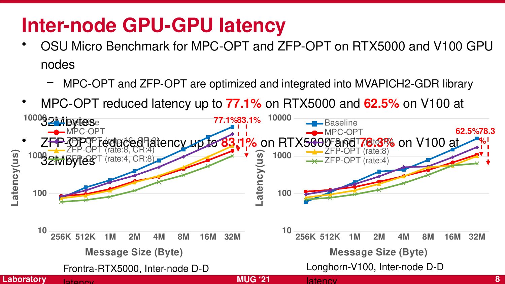#### **Inter-node GPU-GPU latency**

- OSU Micro Benchmark for MPC-OPT and ZFP-OPT on RTX5000 and V100 GPU nodes
	- MPC-OPT and ZFP-OPT are optimized and integrated into MVAPICH2-GDR library
- MPC-OPT reduced latency up to **77.1%** on RTX5000 and **62.5%** on V100 at

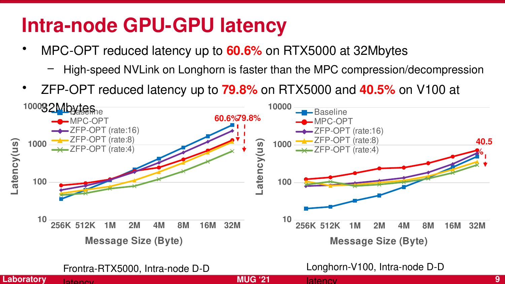#### **Intra-node GPU-GPU latency**

- MPC-OPT reduced latency up to **60.6%** on RTX5000 at 32Mbytes
	- High-speed NVLink on Longhorn is faster than the MPC compression/decompression
- ZFP-OPT reduced latency up to **79.8%** on RTX5000 and **40.5%** on V100 at



Frontra-RTX5000, Intra-node D-D

**Laboratory**

latency

Longhorn-V100, Intra-node D-D

latency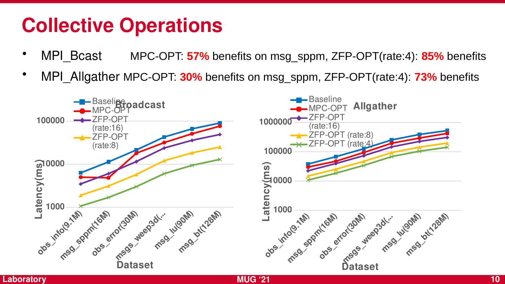#### **Collective Operations**

- MPI\_Bcast MPC-OPT: **57%** benefits on msg\_sppm, ZFP-OPT(rate:4): **85%** benefits
- MPI\_Allgather MPC-OPT: **30%** benefits on msg\_sppm, ZFP-OPT(rate:4): **73%** benefits

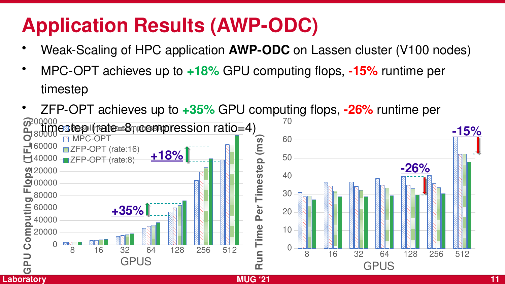## **Application Results (AWP-ODC)**

- Weak-Scaling of HPC application **AWP-ODC** on Lassen cluster (V100 nodes)
- MPC-OPT achieves up to **+18%** GPU computing flops, **-15%** runtime per timestep
- **Network Based Computing**  • ZFP-OPT achieves up to **+35%** GPU computing flops, **-26%** runtime per  $\frac{180000}{180000}$ estep (rate=8 ุทออตาpression ratio=4) 8 16 32 64 128 256 512 0 20000 **글** 40000 60000 80000 **D** 00000<br>┗ ○○○○○  $\frac{1}{2}$ 40000 140000 **L**B0000 200000 **S) Baselina (10=50mpression) MPC-OPT** ZFP-OPT (rate:16) **ZFP-OPT** (rate:8) **GPUS GPUComutin gpFOP[+35%](mailto:panda@cse.ohio-state.edu) [+18%](mailto:panda@cse.ohio-state.edu)** 8 16 32 64 128 256 512  $\Omega$ 10 20 30 40 50 60 70 **R**GPUS **<sup>u</sup> nTim ePer Tim este p (m s) [-15%](mailto:panda@cse.ohio-state.edu) [-26%](mailto:panda@cse.ohio-state.edu)**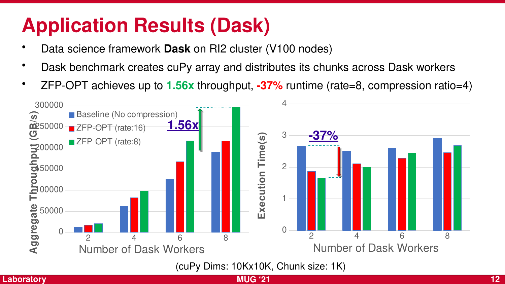## **Application Results (Dask)**

- Data science framework **Dask** on RI2 cluster (V100 nodes)
- Dask benchmark creates cuPy array and distributes its chunks across Dask workers
- ZFP-OPT achieves up to **1.56x** throughput, **-37%** runtime (rate=8, compression ratio=4)



(cuPy Dims: 10Kx10K, Chunk size: 1K)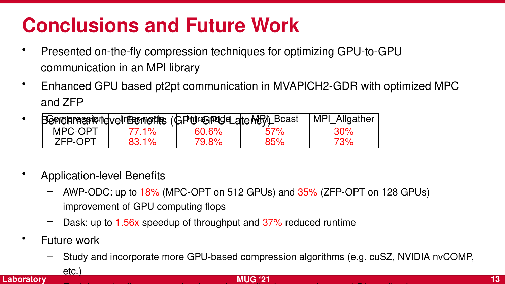## **Conclusions and Future Work**

- Presented on-the-fly compression techniques for optimizing GPU-to-GPU communication in an MPI library
- Enhanced GPU based pt2pt communication in MVAPICH2-GDR with optimized MPC and ZFP
- Benohrassiene veln Benefits (GPU-GPU den MPI) Bcast MPI\_Allgather MPC-OPT | 77.1% | 60.6% | 57% | 30% ZFP-OPT | 83.1% | 79.8% | 85% | 73%
- Application-level Benefits
	- AWP-ODC: up to 18% (MPC-OPT on 512 GPUs) and 35% (ZFP-OPT on 128 GPUs) improvement of GPU computing flops
	- Dask: up to 1.56x speedup of throughput and 37% reduced runtime
- Future work
- **Network Based Computer** Computer Computer Computer Computer Computer Computer Computer Computer Computer Computer – Study and incorporate more GPU-based compression algorithms (e.g. cuSZ, NVIDIA nvCOMP,